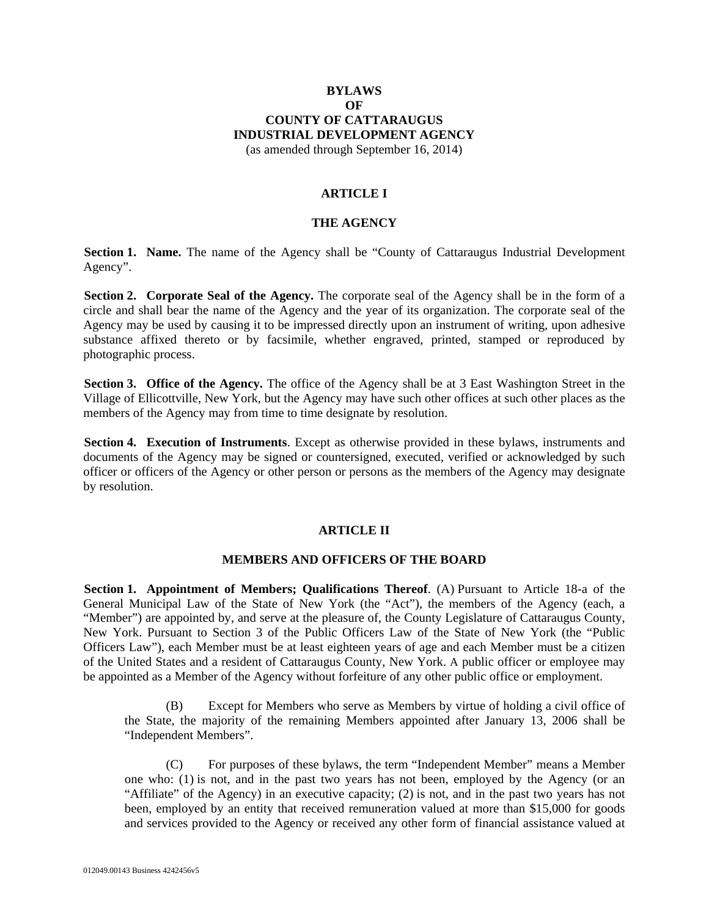# **BYLAWS OF COUNTY OF CATTARAUGUS INDUSTRIAL DEVELOPMENT AGENCY**

(as amended through September 16, 2014)

# **ARTICLE I**

# **THE AGENCY**

**Section 1. Name.** The name of the Agency shall be "County of Cattaraugus Industrial Development Agency".

**Section 2. Corporate Seal of the Agency.** The corporate seal of the Agency shall be in the form of a circle and shall bear the name of the Agency and the year of its organization. The corporate seal of the Agency may be used by causing it to be impressed directly upon an instrument of writing, upon adhesive substance affixed thereto or by facsimile, whether engraved, printed, stamped or reproduced by photographic process.

**Section 3. Office of the Agency.** The office of the Agency shall be at 3 East Washington Street in the Village of Ellicottville, New York, but the Agency may have such other offices at such other places as the members of the Agency may from time to time designate by resolution.

**Section 4. Execution of Instruments**. Except as otherwise provided in these bylaws, instruments and documents of the Agency may be signed or countersigned, executed, verified or acknowledged by such officer or officers of the Agency or other person or persons as the members of the Agency may designate by resolution.

#### **ARTICLE II**

#### **MEMBERS AND OFFICERS OF THE BOARD**

**Section 1. Appointment of Members; Qualifications Thereof**. (A) Pursuant to Article 18-a of the General Municipal Law of the State of New York (the "Act"), the members of the Agency (each, a "Member") are appointed by, and serve at the pleasure of, the County Legislature of Cattaraugus County, New York. Pursuant to Section 3 of the Public Officers Law of the State of New York (the "Public Officers Law"), each Member must be at least eighteen years of age and each Member must be a citizen of the United States and a resident of Cattaraugus County, New York. A public officer or employee may be appointed as a Member of the Agency without forfeiture of any other public office or employment.

(B) Except for Members who serve as Members by virtue of holding a civil office of the State, the majority of the remaining Members appointed after January 13, 2006 shall be "Independent Members".

(C) For purposes of these bylaws, the term "Independent Member" means a Member one who: (1) is not, and in the past two years has not been, employed by the Agency (or an "Affiliate" of the Agency) in an executive capacity; (2) is not, and in the past two years has not been, employed by an entity that received remuneration valued at more than \$15,000 for goods and services provided to the Agency or received any other form of financial assistance valued at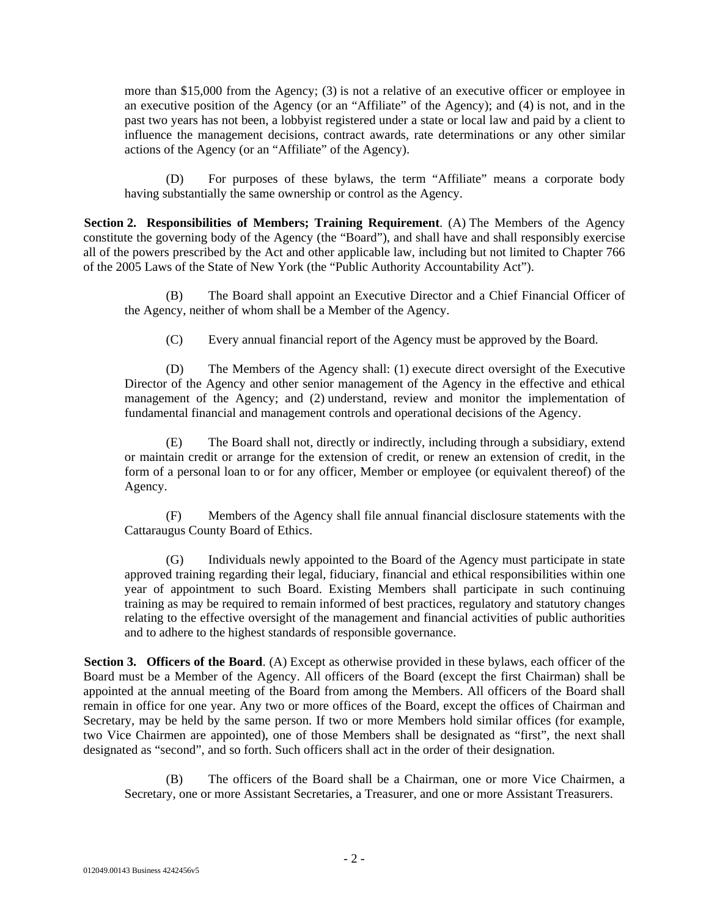more than \$15,000 from the Agency; (3) is not a relative of an executive officer or employee in an executive position of the Agency (or an "Affiliate" of the Agency); and (4) is not, and in the past two years has not been, a lobbyist registered under a state or local law and paid by a client to influence the management decisions, contract awards, rate determinations or any other similar actions of the Agency (or an "Affiliate" of the Agency).

(D) For purposes of these bylaws, the term "Affiliate" means a corporate body having substantially the same ownership or control as the Agency.

**Section 2. Responsibilities of Members; Training Requirement**. (A) The Members of the Agency constitute the governing body of the Agency (the "Board"), and shall have and shall responsibly exercise all of the powers prescribed by the Act and other applicable law, including but not limited to Chapter 766 of the 2005 Laws of the State of New York (the "Public Authority Accountability Act").

(B) The Board shall appoint an Executive Director and a Chief Financial Officer of the Agency, neither of whom shall be a Member of the Agency.

(C) Every annual financial report of the Agency must be approved by the Board.

(D) The Members of the Agency shall: (1) execute direct oversight of the Executive Director of the Agency and other senior management of the Agency in the effective and ethical management of the Agency; and (2) understand, review and monitor the implementation of fundamental financial and management controls and operational decisions of the Agency.

(E) The Board shall not, directly or indirectly, including through a subsidiary, extend or maintain credit or arrange for the extension of credit, or renew an extension of credit, in the form of a personal loan to or for any officer, Member or employee (or equivalent thereof) of the Agency.

(F) Members of the Agency shall file annual financial disclosure statements with the Cattaraugus County Board of Ethics.

(G) Individuals newly appointed to the Board of the Agency must participate in state approved training regarding their legal, fiduciary, financial and ethical responsibilities within one year of appointment to such Board. Existing Members shall participate in such continuing training as may be required to remain informed of best practices, regulatory and statutory changes relating to the effective oversight of the management and financial activities of public authorities and to adhere to the highest standards of responsible governance.

**Section 3. Officers of the Board.** (A) Except as otherwise provided in these bylaws, each officer of the Board must be a Member of the Agency. All officers of the Board (except the first Chairman) shall be appointed at the annual meeting of the Board from among the Members. All officers of the Board shall remain in office for one year. Any two or more offices of the Board, except the offices of Chairman and Secretary, may be held by the same person. If two or more Members hold similar offices (for example, two Vice Chairmen are appointed), one of those Members shall be designated as "first", the next shall designated as "second", and so forth. Such officers shall act in the order of their designation.

(B) The officers of the Board shall be a Chairman, one or more Vice Chairmen, a Secretary, one or more Assistant Secretaries, a Treasurer, and one or more Assistant Treasurers.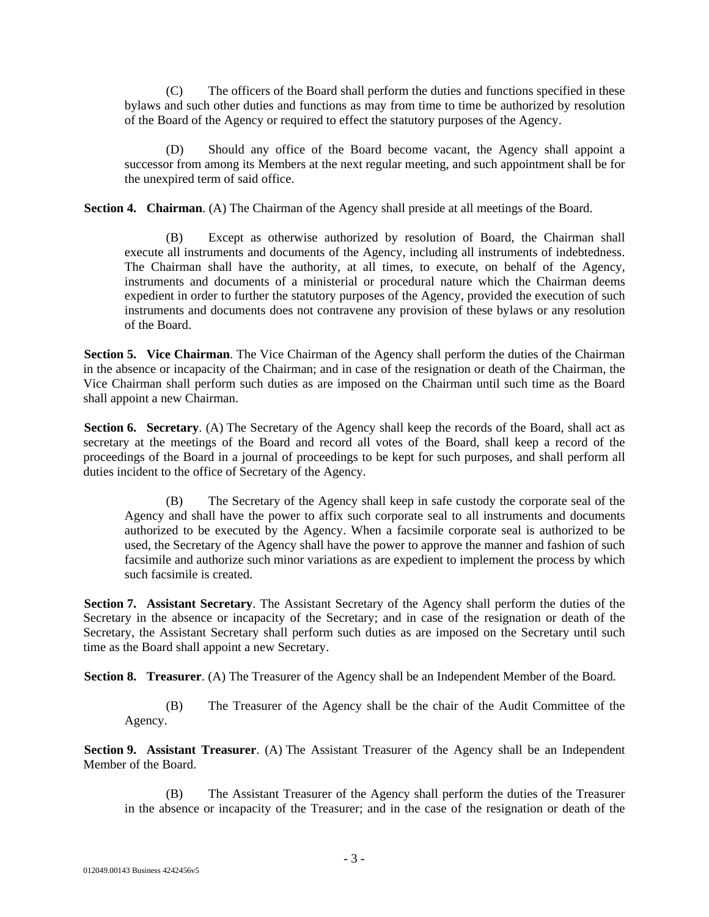(C) The officers of the Board shall perform the duties and functions specified in these bylaws and such other duties and functions as may from time to time be authorized by resolution of the Board of the Agency or required to effect the statutory purposes of the Agency.

(D) Should any office of the Board become vacant, the Agency shall appoint a successor from among its Members at the next regular meeting, and such appointment shall be for the unexpired term of said office.

**Section 4. Chairman**. (A) The Chairman of the Agency shall preside at all meetings of the Board.

(B) Except as otherwise authorized by resolution of Board, the Chairman shall execute all instruments and documents of the Agency, including all instruments of indebtedness. The Chairman shall have the authority, at all times, to execute, on behalf of the Agency, instruments and documents of a ministerial or procedural nature which the Chairman deems expedient in order to further the statutory purposes of the Agency, provided the execution of such instruments and documents does not contravene any provision of these bylaws or any resolution of the Board.

**Section 5. Vice Chairman**. The Vice Chairman of the Agency shall perform the duties of the Chairman in the absence or incapacity of the Chairman; and in case of the resignation or death of the Chairman, the Vice Chairman shall perform such duties as are imposed on the Chairman until such time as the Board shall appoint a new Chairman.

**Section 6.** Secretary. (A) The Secretary of the Agency shall keep the records of the Board, shall act as secretary at the meetings of the Board and record all votes of the Board, shall keep a record of the proceedings of the Board in a journal of proceedings to be kept for such purposes, and shall perform all duties incident to the office of Secretary of the Agency.

(B) The Secretary of the Agency shall keep in safe custody the corporate seal of the Agency and shall have the power to affix such corporate seal to all instruments and documents authorized to be executed by the Agency. When a facsimile corporate seal is authorized to be used, the Secretary of the Agency shall have the power to approve the manner and fashion of such facsimile and authorize such minor variations as are expedient to implement the process by which such facsimile is created.

**Section 7. Assistant Secretary**. The Assistant Secretary of the Agency shall perform the duties of the Secretary in the absence or incapacity of the Secretary; and in case of the resignation or death of the Secretary, the Assistant Secretary shall perform such duties as are imposed on the Secretary until such time as the Board shall appoint a new Secretary.

**Section 8. Treasurer**. (A) The Treasurer of the Agency shall be an Independent Member of the Board.

(B) The Treasurer of the Agency shall be the chair of the Audit Committee of the Agency.

**Section 9. Assistant Treasurer**. (A) The Assistant Treasurer of the Agency shall be an Independent Member of the Board.

(B) The Assistant Treasurer of the Agency shall perform the duties of the Treasurer in the absence or incapacity of the Treasurer; and in the case of the resignation or death of the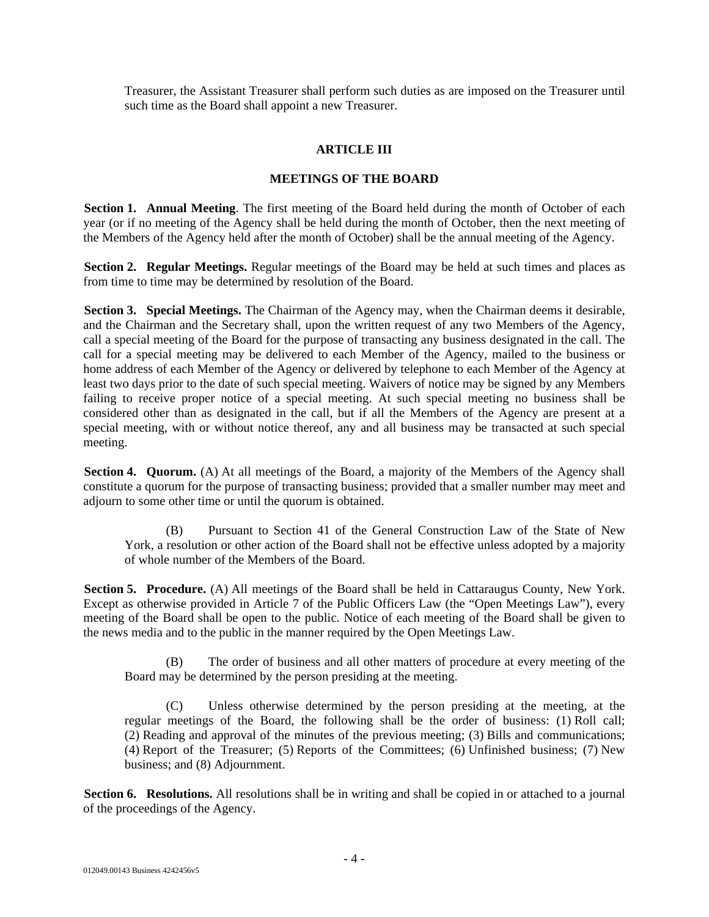Treasurer, the Assistant Treasurer shall perform such duties as are imposed on the Treasurer until such time as the Board shall appoint a new Treasurer.

## **ARTICLE III**

## **MEETINGS OF THE BOARD**

**Section 1. Annual Meeting.** The first meeting of the Board held during the month of October of each year (or if no meeting of the Agency shall be held during the month of October, then the next meeting of the Members of the Agency held after the month of October) shall be the annual meeting of the Agency.

**Section 2. Regular Meetings.** Regular meetings of the Board may be held at such times and places as from time to time may be determined by resolution of the Board.

**Section 3. Special Meetings.** The Chairman of the Agency may, when the Chairman deems it desirable, and the Chairman and the Secretary shall, upon the written request of any two Members of the Agency, call a special meeting of the Board for the purpose of transacting any business designated in the call. The call for a special meeting may be delivered to each Member of the Agency, mailed to the business or home address of each Member of the Agency or delivered by telephone to each Member of the Agency at least two days prior to the date of such special meeting. Waivers of notice may be signed by any Members failing to receive proper notice of a special meeting. At such special meeting no business shall be considered other than as designated in the call, but if all the Members of the Agency are present at a special meeting, with or without notice thereof, any and all business may be transacted at such special meeting.

**Section 4. Quorum.** (A) At all meetings of the Board, a majority of the Members of the Agency shall constitute a quorum for the purpose of transacting business; provided that a smaller number may meet and adjourn to some other time or until the quorum is obtained.

(B) Pursuant to Section 41 of the General Construction Law of the State of New York, a resolution or other action of the Board shall not be effective unless adopted by a majority of whole number of the Members of the Board.

**Section 5. Procedure.** (A) All meetings of the Board shall be held in Cattaraugus County, New York. Except as otherwise provided in Article 7 of the Public Officers Law (the "Open Meetings Law"), every meeting of the Board shall be open to the public. Notice of each meeting of the Board shall be given to the news media and to the public in the manner required by the Open Meetings Law.

(B) The order of business and all other matters of procedure at every meeting of the Board may be determined by the person presiding at the meeting.

(C) Unless otherwise determined by the person presiding at the meeting, at the regular meetings of the Board, the following shall be the order of business: (1) Roll call; (2) Reading and approval of the minutes of the previous meeting; (3) Bills and communications; (4) Report of the Treasurer; (5) Reports of the Committees; (6) Unfinished business; (7) New business; and (8) Adjournment.

**Section 6. Resolutions.** All resolutions shall be in writing and shall be copied in or attached to a journal of the proceedings of the Agency.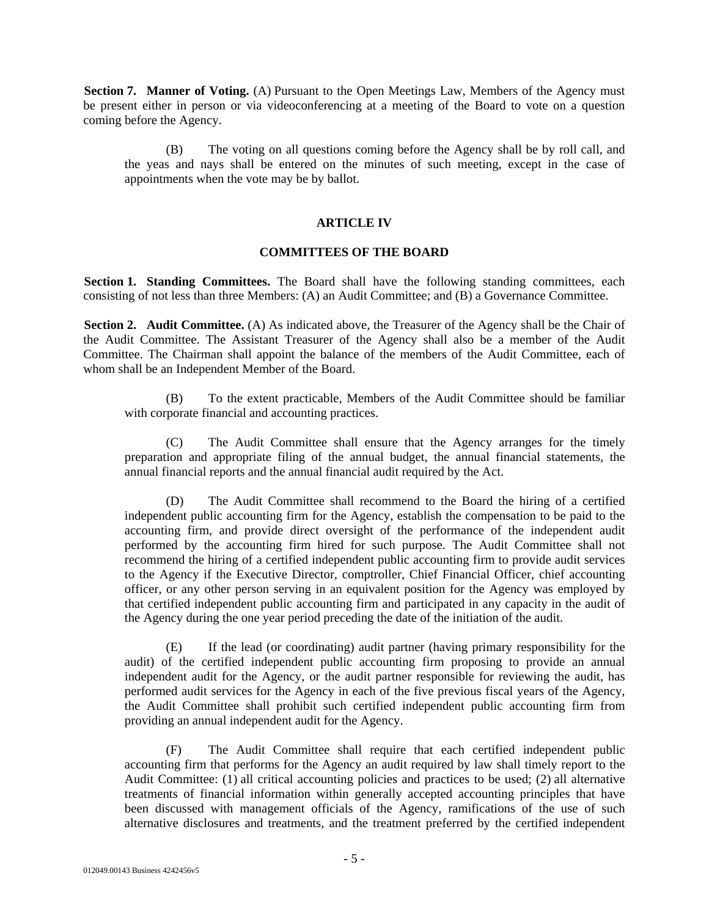**Section 7. Manner of Voting.** (A) Pursuant to the Open Meetings Law, Members of the Agency must be present either in person or via videoconferencing at a meeting of the Board to vote on a question coming before the Agency.

(B) The voting on all questions coming before the Agency shall be by roll call, and the yeas and nays shall be entered on the minutes of such meeting, except in the case of appointments when the vote may be by ballot.

#### **ARTICLE IV**

### **COMMITTEES OF THE BOARD**

**Section 1. Standing Committees.** The Board shall have the following standing committees, each consisting of not less than three Members: (A) an Audit Committee; and (B) a Governance Committee.

**Section 2. Audit Committee.** (A) As indicated above, the Treasurer of the Agency shall be the Chair of the Audit Committee. The Assistant Treasurer of the Agency shall also be a member of the Audit Committee. The Chairman shall appoint the balance of the members of the Audit Committee, each of whom shall be an Independent Member of the Board.

(B) To the extent practicable, Members of the Audit Committee should be familiar with corporate financial and accounting practices.

(C) The Audit Committee shall ensure that the Agency arranges for the timely preparation and appropriate filing of the annual budget, the annual financial statements, the annual financial reports and the annual financial audit required by the Act.

(D) The Audit Committee shall recommend to the Board the hiring of a certified independent public accounting firm for the Agency, establish the compensation to be paid to the accounting firm, and provide direct oversight of the performance of the independent audit performed by the accounting firm hired for such purpose. The Audit Committee shall not recommend the hiring of a certified independent public accounting firm to provide audit services to the Agency if the Executive Director, comptroller, Chief Financial Officer, chief accounting officer, or any other person serving in an equivalent position for the Agency was employed by that certified independent public accounting firm and participated in any capacity in the audit of the Agency during the one year period preceding the date of the initiation of the audit.

(E) If the lead (or coordinating) audit partner (having primary responsibility for the audit) of the certified independent public accounting firm proposing to provide an annual independent audit for the Agency, or the audit partner responsible for reviewing the audit, has performed audit services for the Agency in each of the five previous fiscal years of the Agency, the Audit Committee shall prohibit such certified independent public accounting firm from providing an annual independent audit for the Agency.

(F) The Audit Committee shall require that each certified independent public accounting firm that performs for the Agency an audit required by law shall timely report to the Audit Committee: (1) all critical accounting policies and practices to be used; (2) all alternative treatments of financial information within generally accepted accounting principles that have been discussed with management officials of the Agency, ramifications of the use of such alternative disclosures and treatments, and the treatment preferred by the certified independent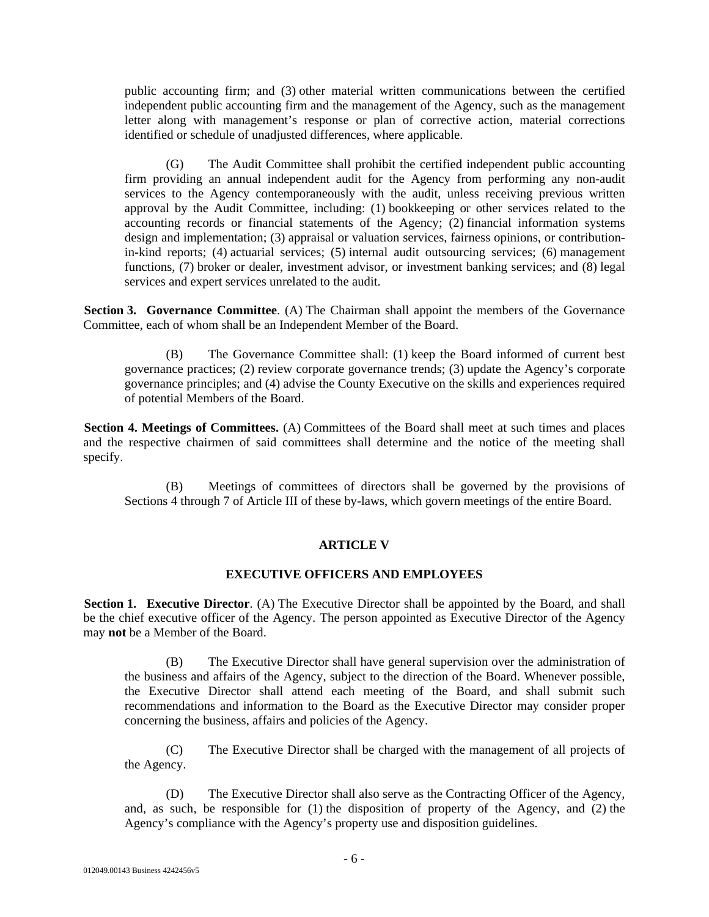public accounting firm; and (3) other material written communications between the certified independent public accounting firm and the management of the Agency, such as the management letter along with management's response or plan of corrective action, material corrections identified or schedule of unadjusted differences, where applicable.

(G) The Audit Committee shall prohibit the certified independent public accounting firm providing an annual independent audit for the Agency from performing any non-audit services to the Agency contemporaneously with the audit, unless receiving previous written approval by the Audit Committee, including: (1) bookkeeping or other services related to the accounting records or financial statements of the Agency; (2) financial information systems design and implementation; (3) appraisal or valuation services, fairness opinions, or contributionin-kind reports; (4) actuarial services; (5) internal audit outsourcing services; (6) management functions, (7) broker or dealer, investment advisor, or investment banking services; and (8) legal services and expert services unrelated to the audit.

**Section 3. Governance Committee**. (A) The Chairman shall appoint the members of the Governance Committee, each of whom shall be an Independent Member of the Board.

(B) The Governance Committee shall: (1) keep the Board informed of current best governance practices; (2) review corporate governance trends; (3) update the Agency's corporate governance principles; and (4) advise the County Executive on the skills and experiences required of potential Members of the Board.

**Section 4. Meetings of Committees.** (A) Committees of the Board shall meet at such times and places and the respective chairmen of said committees shall determine and the notice of the meeting shall specify.

(B) Meetings of committees of directors shall be governed by the provisions of Sections 4 through 7 of Article III of these by-laws, which govern meetings of the entire Board.

#### **ARTICLE V**

## **EXECUTIVE OFFICERS AND EMPLOYEES**

**Section 1. Executive Director**. (A) The Executive Director shall be appointed by the Board, and shall be the chief executive officer of the Agency. The person appointed as Executive Director of the Agency may **not** be a Member of the Board.

(B) The Executive Director shall have general supervision over the administration of the business and affairs of the Agency, subject to the direction of the Board. Whenever possible, the Executive Director shall attend each meeting of the Board, and shall submit such recommendations and information to the Board as the Executive Director may consider proper concerning the business, affairs and policies of the Agency.

(C) The Executive Director shall be charged with the management of all projects of the Agency.

(D) The Executive Director shall also serve as the Contracting Officer of the Agency, and, as such, be responsible for (1) the disposition of property of the Agency, and (2) the Agency's compliance with the Agency's property use and disposition guidelines.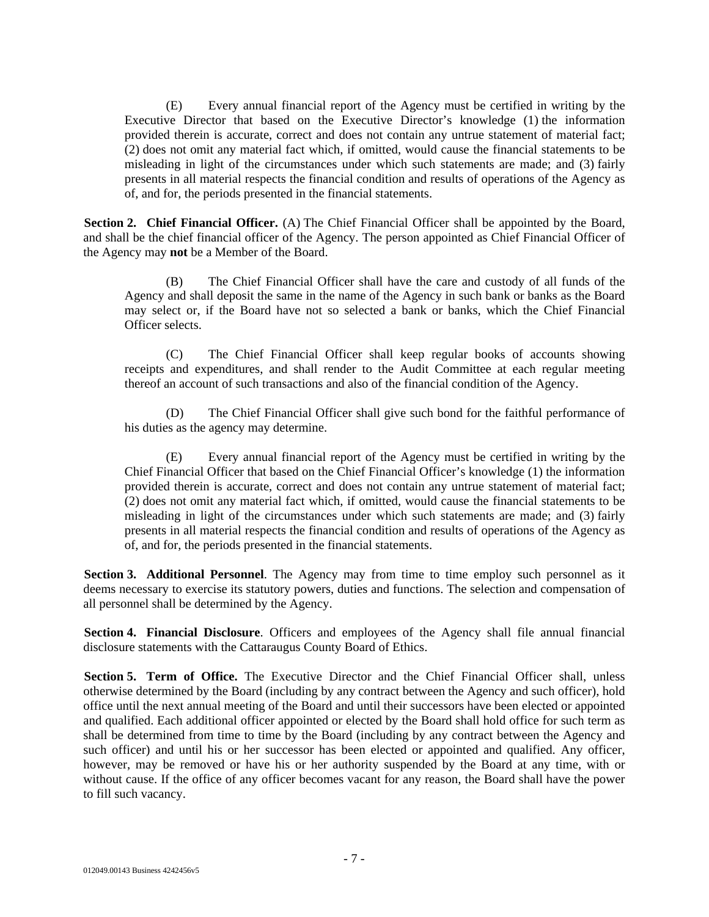(E) Every annual financial report of the Agency must be certified in writing by the Executive Director that based on the Executive Director's knowledge (1) the information provided therein is accurate, correct and does not contain any untrue statement of material fact; (2) does not omit any material fact which, if omitted, would cause the financial statements to be misleading in light of the circumstances under which such statements are made; and (3) fairly presents in all material respects the financial condition and results of operations of the Agency as of, and for, the periods presented in the financial statements.

**Section 2. Chief Financial Officer.** (A) The Chief Financial Officer shall be appointed by the Board, and shall be the chief financial officer of the Agency. The person appointed as Chief Financial Officer of the Agency may **not** be a Member of the Board.

(B) The Chief Financial Officer shall have the care and custody of all funds of the Agency and shall deposit the same in the name of the Agency in such bank or banks as the Board may select or, if the Board have not so selected a bank or banks, which the Chief Financial Officer selects.

(C) The Chief Financial Officer shall keep regular books of accounts showing receipts and expenditures, and shall render to the Audit Committee at each regular meeting thereof an account of such transactions and also of the financial condition of the Agency.

(D) The Chief Financial Officer shall give such bond for the faithful performance of his duties as the agency may determine.

(E) Every annual financial report of the Agency must be certified in writing by the Chief Financial Officer that based on the Chief Financial Officer's knowledge (1) the information provided therein is accurate, correct and does not contain any untrue statement of material fact; (2) does not omit any material fact which, if omitted, would cause the financial statements to be misleading in light of the circumstances under which such statements are made; and (3) fairly presents in all material respects the financial condition and results of operations of the Agency as of, and for, the periods presented in the financial statements.

**Section 3. Additional Personnel**. The Agency may from time to time employ such personnel as it deems necessary to exercise its statutory powers, duties and functions. The selection and compensation of all personnel shall be determined by the Agency.

**Section 4. Financial Disclosure.** Officers and employees of the Agency shall file annual financial disclosure statements with the Cattaraugus County Board of Ethics.

**Section 5. Term of Office.** The Executive Director and the Chief Financial Officer shall, unless otherwise determined by the Board (including by any contract between the Agency and such officer), hold office until the next annual meeting of the Board and until their successors have been elected or appointed and qualified. Each additional officer appointed or elected by the Board shall hold office for such term as shall be determined from time to time by the Board (including by any contract between the Agency and such officer) and until his or her successor has been elected or appointed and qualified. Any officer, however, may be removed or have his or her authority suspended by the Board at any time, with or without cause. If the office of any officer becomes vacant for any reason, the Board shall have the power to fill such vacancy.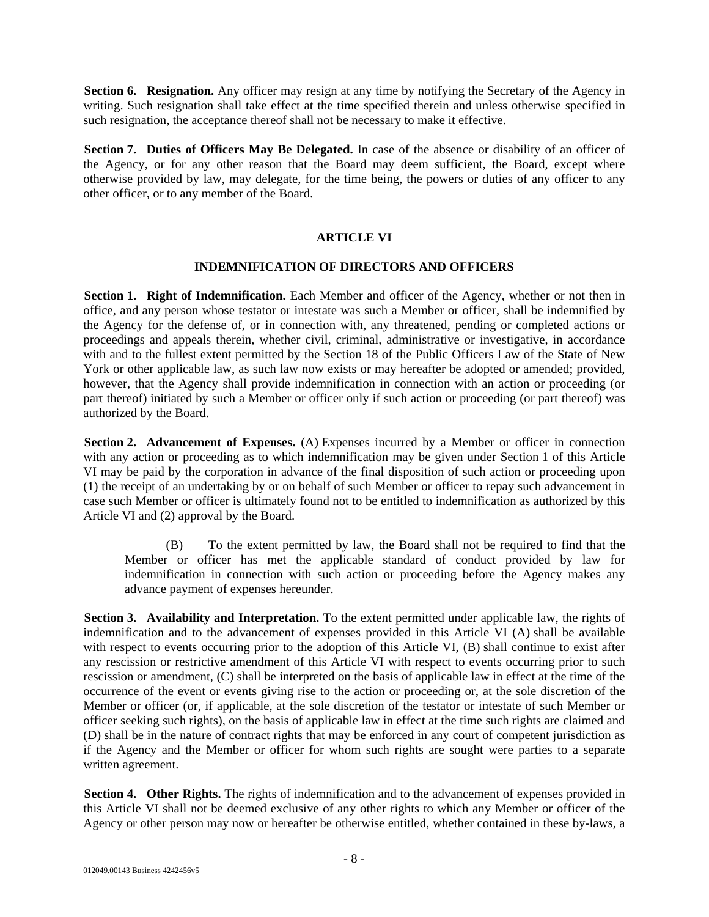**Section 6. Resignation.** Any officer may resign at any time by notifying the Secretary of the Agency in writing. Such resignation shall take effect at the time specified therein and unless otherwise specified in such resignation, the acceptance thereof shall not be necessary to make it effective.

**Section 7. Duties of Officers May Be Delegated.** In case of the absence or disability of an officer of the Agency, or for any other reason that the Board may deem sufficient, the Board, except where otherwise provided by law, may delegate, for the time being, the powers or duties of any officer to any other officer, or to any member of the Board.

# **ARTICLE VI**

# **INDEMNIFICATION OF DIRECTORS AND OFFICERS**

**Section 1. Right of Indemnification.** Each Member and officer of the Agency, whether or not then in office, and any person whose testator or intestate was such a Member or officer, shall be indemnified by the Agency for the defense of, or in connection with, any threatened, pending or completed actions or proceedings and appeals therein, whether civil, criminal, administrative or investigative, in accordance with and to the fullest extent permitted by the Section 18 of the Public Officers Law of the State of New York or other applicable law, as such law now exists or may hereafter be adopted or amended; provided, however, that the Agency shall provide indemnification in connection with an action or proceeding (or part thereof) initiated by such a Member or officer only if such action or proceeding (or part thereof) was authorized by the Board.

**Section 2. Advancement of Expenses.** (A) Expenses incurred by a Member or officer in connection with any action or proceeding as to which indemnification may be given under Section 1 of this Article VI may be paid by the corporation in advance of the final disposition of such action or proceeding upon (1) the receipt of an undertaking by or on behalf of such Member or officer to repay such advancement in case such Member or officer is ultimately found not to be entitled to indemnification as authorized by this Article VI and (2) approval by the Board.

(B) To the extent permitted by law, the Board shall not be required to find that the Member or officer has met the applicable standard of conduct provided by law for indemnification in connection with such action or proceeding before the Agency makes any advance payment of expenses hereunder.

**Section 3. Availability and Interpretation.** To the extent permitted under applicable law, the rights of indemnification and to the advancement of expenses provided in this Article VI (A) shall be available with respect to events occurring prior to the adoption of this Article VI, (B) shall continue to exist after any rescission or restrictive amendment of this Article VI with respect to events occurring prior to such rescission or amendment, (C) shall be interpreted on the basis of applicable law in effect at the time of the occurrence of the event or events giving rise to the action or proceeding or, at the sole discretion of the Member or officer (or, if applicable, at the sole discretion of the testator or intestate of such Member or officer seeking such rights), on the basis of applicable law in effect at the time such rights are claimed and (D) shall be in the nature of contract rights that may be enforced in any court of competent jurisdiction as if the Agency and the Member or officer for whom such rights are sought were parties to a separate written agreement.

**Section 4. Other Rights.** The rights of indemnification and to the advancement of expenses provided in this Article VI shall not be deemed exclusive of any other rights to which any Member or officer of the Agency or other person may now or hereafter be otherwise entitled, whether contained in these by-laws, a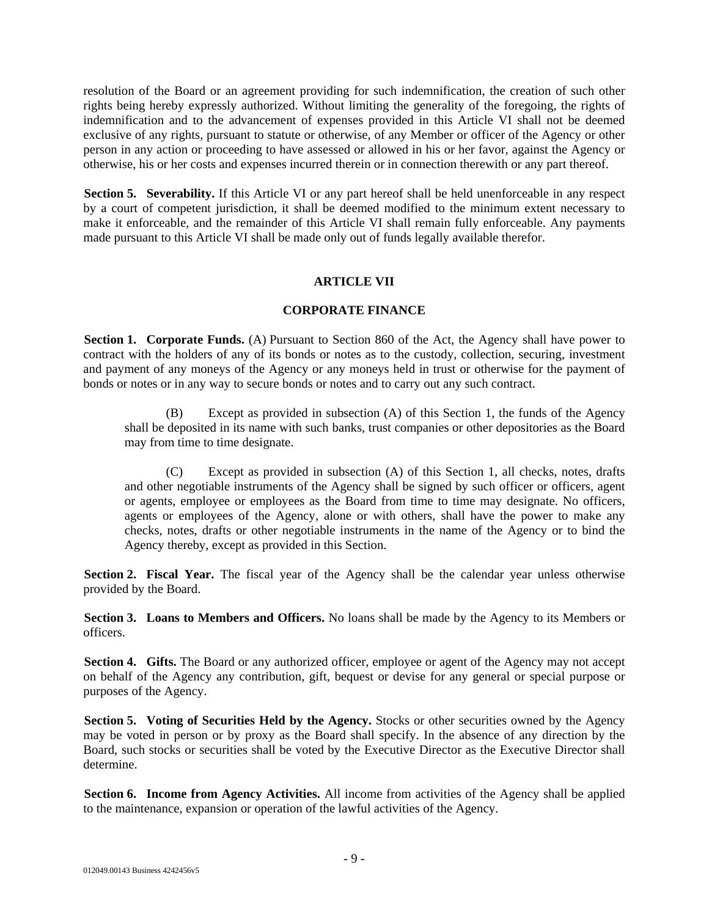resolution of the Board or an agreement providing for such indemnification, the creation of such other rights being hereby expressly authorized. Without limiting the generality of the foregoing, the rights of indemnification and to the advancement of expenses provided in this Article VI shall not be deemed exclusive of any rights, pursuant to statute or otherwise, of any Member or officer of the Agency or other person in any action or proceeding to have assessed or allowed in his or her favor, against the Agency or otherwise, his or her costs and expenses incurred therein or in connection therewith or any part thereof.

**Section 5. Severability.** If this Article VI or any part hereof shall be held unenforceable in any respect by a court of competent jurisdiction, it shall be deemed modified to the minimum extent necessary to make it enforceable, and the remainder of this Article VI shall remain fully enforceable. Any payments made pursuant to this Article VI shall be made only out of funds legally available therefor.

# **ARTICLE VII**

### **CORPORATE FINANCE**

**Section 1. Corporate Funds.** (A) Pursuant to Section 860 of the Act, the Agency shall have power to contract with the holders of any of its bonds or notes as to the custody, collection, securing, investment and payment of any moneys of the Agency or any moneys held in trust or otherwise for the payment of bonds or notes or in any way to secure bonds or notes and to carry out any such contract.

(B) Except as provided in subsection (A) of this Section 1, the funds of the Agency shall be deposited in its name with such banks, trust companies or other depositories as the Board may from time to time designate.

(C) Except as provided in subsection (A) of this Section 1, all checks, notes, drafts and other negotiable instruments of the Agency shall be signed by such officer or officers, agent or agents, employee or employees as the Board from time to time may designate. No officers, agents or employees of the Agency, alone or with others, shall have the power to make any checks, notes, drafts or other negotiable instruments in the name of the Agency or to bind the Agency thereby, except as provided in this Section.

**Section 2. Fiscal Year.** The fiscal year of the Agency shall be the calendar year unless otherwise provided by the Board.

**Section 3. Loans to Members and Officers.** No loans shall be made by the Agency to its Members or officers.

**Section 4. Gifts.** The Board or any authorized officer, employee or agent of the Agency may not accept on behalf of the Agency any contribution, gift, bequest or devise for any general or special purpose or purposes of the Agency.

**Section 5. Voting of Securities Held by the Agency.** Stocks or other securities owned by the Agency may be voted in person or by proxy as the Board shall specify. In the absence of any direction by the Board, such stocks or securities shall be voted by the Executive Director as the Executive Director shall determine.

**Section 6. Income from Agency Activities.** All income from activities of the Agency shall be applied to the maintenance, expansion or operation of the lawful activities of the Agency.